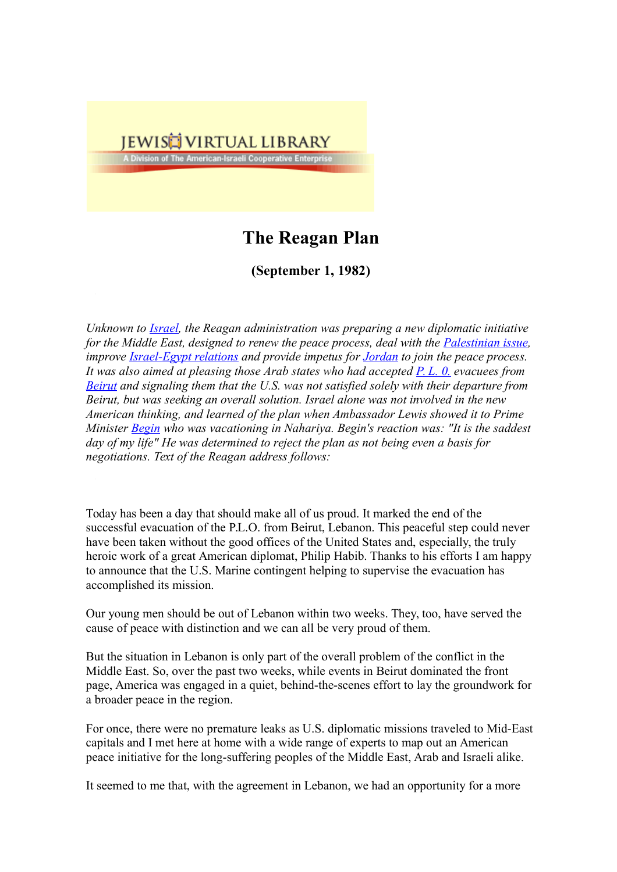

## **The Reagan Plan**

**(September 1, 1982)**

*Unknown to [Israel,](http://www.jewishvirtuallibrary.org/jsource/israel.html) the Reagan administration was preparing a new diplomatic initiative for the Middle East, designed to renew the peace process, deal with the [Palestinian issue,](http://www.jewishvirtuallibrary.org/jsource/Peace/palstoc.html) improve [Israel-Egypt relations](http://www.jewishvirtuallibrary.org/jsource/Peace/egtoc.html) and provide impetus for [Jordan](http://www.jewishvirtuallibrary.org/jsource/Peace/jortoc.html) to join the peace process. It was also aimed at pleasing those Arab states who had accepted [P. L. 0.](http://www.jewishvirtuallibrary.org/jsource/Terrorism/plotoc.html) evacuees from [Beirut](http://www.jewishvirtuallibrary.org/jsource/History/lebtoc.html) and signaling them that the U.S. was not satisfied solely with their departure from Beirut, but was seeking an overall solution. Israel alone was not involved in the new American thinking, and learned of the plan when Ambassador Lewis showed it to Prime Minister [Begin](http://www.jewishvirtuallibrary.org/jsource/biography/begin.html) who was vacationing in Nahariya. Begin's reaction was: "It is the saddest day of my life" He was determined to reject the plan as not being even a basis for negotiations. Text of the Reagan address follows:*

Today has been a day that should make all of us proud. It marked the end of the successful evacuation of the P.L.O. from Beirut, Lebanon. This peaceful step could never have been taken without the good offices of the United States and, especially, the truly heroic work of a great American diplomat, Philip Habib. Thanks to his efforts I am happy to announce that the U.S. Marine contingent helping to supervise the evacuation has accomplished its mission.

Our young men should be out of Lebanon within two weeks. They, too, have served the cause of peace with distinction and we can all be very proud of them.

But the situation in Lebanon is only part of the overall problem of the conflict in the Middle East. So, over the past two weeks, while events in Beirut dominated the front page, America was engaged in a quiet, behind-the-scenes effort to lay the groundwork for a broader peace in the region.

For once, there were no premature leaks as U.S. diplomatic missions traveled to Mid-East capitals and I met here at home with a wide range of experts to map out an American peace initiative for the long-suffering peoples of the Middle East, Arab and Israeli alike.

It seemed to me that, with the agreement in Lebanon, we had an opportunity for a more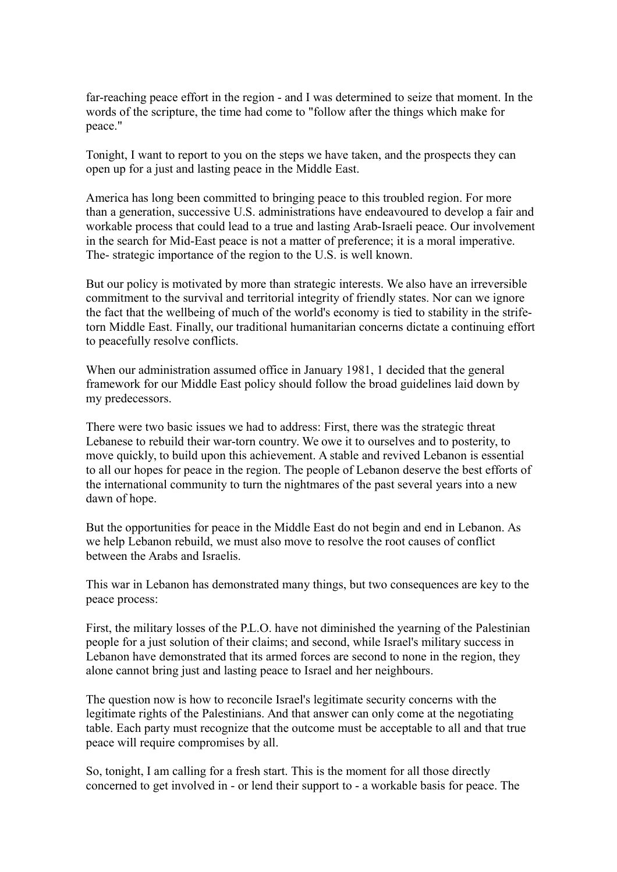far-reaching peace effort in the region - and I was determined to seize that moment. In the words of the scripture, the time had come to "follow after the things which make for peace."

Tonight, I want to report to you on the steps we have taken, and the prospects they can open up for a just and lasting peace in the Middle East.

America has long been committed to bringing peace to this troubled region. For more than a generation, successive U.S. administrations have endeavoured to develop a fair and workable process that could lead to a true and lasting Arab-Israeli peace. Our involvement in the search for Mid-East peace is not a matter of preference; it is a moral imperative. The- strategic importance of the region to the U.S. is well known.

But our policy is motivated by more than strategic interests. We also have an irreversible commitment to the survival and territorial integrity of friendly states. Nor can we ignore the fact that the wellbeing of much of the world's economy is tied to stability in the strifetorn Middle East. Finally, our traditional humanitarian concerns dictate a continuing effort to peacefully resolve conflicts.

When our administration assumed office in January 1981, 1 decided that the general framework for our Middle East policy should follow the broad guidelines laid down by my predecessors.

There were two basic issues we had to address: First, there was the strategic threat Lebanese to rebuild their war-torn country. We owe it to ourselves and to posterity, to move quickly, to build upon this achievement. A stable and revived Lebanon is essential to all our hopes for peace in the region. The people of Lebanon deserve the best efforts of the international community to turn the nightmares of the past several years into a new dawn of hope.

But the opportunities for peace in the Middle East do not begin and end in Lebanon. As we help Lebanon rebuild, we must also move to resolve the root causes of conflict between the Arabs and Israelis.

This war in Lebanon has demonstrated many things, but two consequences are key to the peace process:

First, the military losses of the P.L.O. have not diminished the yearning of the Palestinian people for a just solution of their claims; and second, while Israel's military success in Lebanon have demonstrated that its armed forces are second to none in the region, they alone cannot bring just and lasting peace to Israel and her neighbours.

The question now is how to reconcile Israel's legitimate security concerns with the legitimate rights of the Palestinians. And that answer can only come at the negotiating table. Each party must recognize that the outcome must be acceptable to all and that true peace will require compromises by all.

So, tonight, I am calling for a fresh start. This is the moment for all those directly concerned to get involved in - or lend their support to - a workable basis for peace. The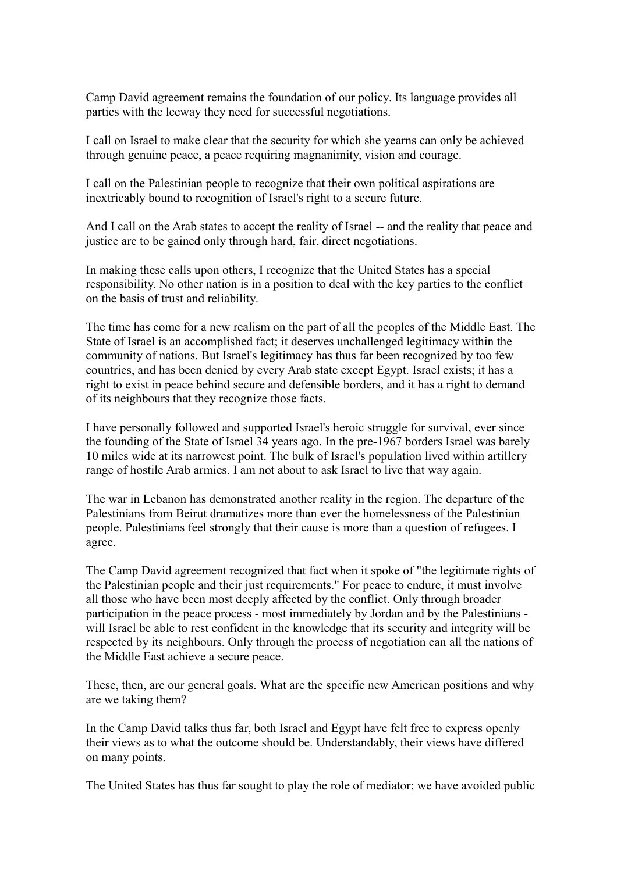Camp David agreement remains the foundation of our policy. Its language provides all parties with the leeway they need for successful negotiations.

I call on Israel to make clear that the security for which she yearns can only be achieved through genuine peace, a peace requiring magnanimity, vision and courage.

I call on the Palestinian people to recognize that their own political aspirations are inextricably bound to recognition of Israel's right to a secure future.

And I call on the Arab states to accept the reality of Israel -- and the reality that peace and justice are to be gained only through hard, fair, direct negotiations.

In making these calls upon others, I recognize that the United States has a special responsibility. No other nation is in a position to deal with the key parties to the conflict on the basis of trust and reliability.

The time has come for a new realism on the part of all the peoples of the Middle East. The State of Israel is an accomplished fact; it deserves unchallenged legitimacy within the community of nations. But Israel's legitimacy has thus far been recognized by too few countries, and has been denied by every Arab state except Egypt. Israel exists; it has a right to exist in peace behind secure and defensible borders, and it has a right to demand of its neighbours that they recognize those facts.

I have personally followed and supported Israel's heroic struggle for survival, ever since the founding of the State of Israel 34 years ago. In the pre-1967 borders Israel was barely 10 miles wide at its narrowest point. The bulk of Israel's population lived within artillery range of hostile Arab armies. I am not about to ask Israel to live that way again.

The war in Lebanon has demonstrated another reality in the region. The departure of the Palestinians from Beirut dramatizes more than ever the homelessness of the Palestinian people. Palestinians feel strongly that their cause is more than a question of refugees. I agree.

The Camp David agreement recognized that fact when it spoke of "the legitimate rights of the Palestinian people and their just requirements." For peace to endure, it must involve all those who have been most deeply affected by the conflict. Only through broader participation in the peace process - most immediately by Jordan and by the Palestinians will Israel be able to rest confident in the knowledge that its security and integrity will be respected by its neighbours. Only through the process of negotiation can all the nations of the Middle East achieve a secure peace.

These, then, are our general goals. What are the specific new American positions and why are we taking them?

In the Camp David talks thus far, both Israel and Egypt have felt free to express openly their views as to what the outcome should be. Understandably, their views have differed on many points.

The United States has thus far sought to play the role of mediator; we have avoided public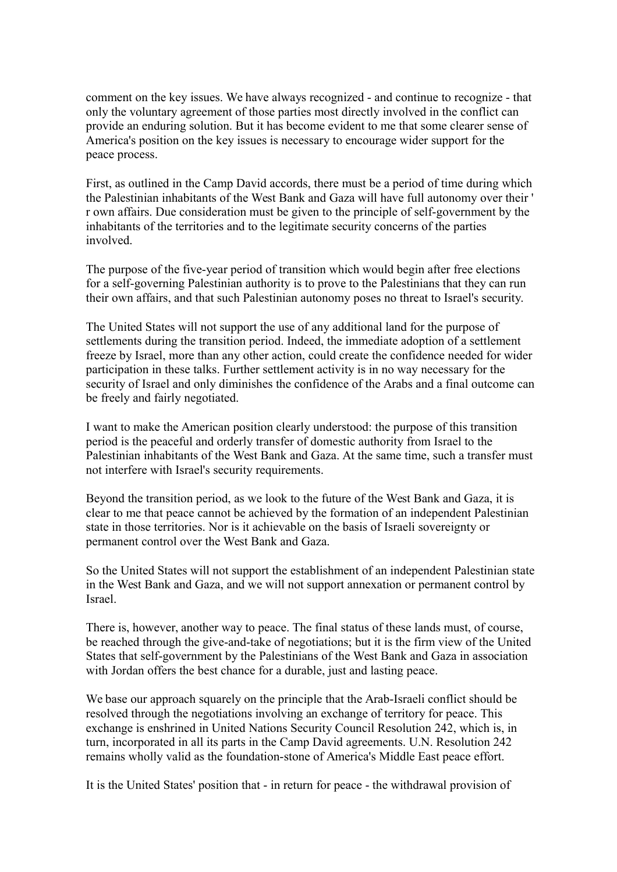comment on the key issues. We have always recognized - and continue to recognize - that only the voluntary agreement of those parties most directly involved in the conflict can provide an enduring solution. But it has become evident to me that some clearer sense of America's position on the key issues is necessary to encourage wider support for the peace process.

First, as outlined in the Camp David accords, there must be a period of time during which the Palestinian inhabitants of the West Bank and Gaza will have full autonomy over their ' r own affairs. Due consideration must be given to the principle of self-government by the inhabitants of the territories and to the legitimate security concerns of the parties involved.

The purpose of the five-year period of transition which would begin after free elections for a self-governing Palestinian authority is to prove to the Palestinians that they can run their own affairs, and that such Palestinian autonomy poses no threat to Israel's security.

The United States will not support the use of any additional land for the purpose of settlements during the transition period. Indeed, the immediate adoption of a settlement freeze by Israel, more than any other action, could create the confidence needed for wider participation in these talks. Further settlement activity is in no way necessary for the security of Israel and only diminishes the confidence of the Arabs and a final outcome can be freely and fairly negotiated.

I want to make the American position clearly understood: the purpose of this transition period is the peaceful and orderly transfer of domestic authority from Israel to the Palestinian inhabitants of the West Bank and Gaza. At the same time, such a transfer must not interfere with Israel's security requirements.

Beyond the transition period, as we look to the future of the West Bank and Gaza, it is clear to me that peace cannot be achieved by the formation of an independent Palestinian state in those territories. Nor is it achievable on the basis of Israeli sovereignty or permanent control over the West Bank and Gaza.

So the United States will not support the establishment of an independent Palestinian state in the West Bank and Gaza, and we will not support annexation or permanent control by Israel.

There is, however, another way to peace. The final status of these lands must, of course, be reached through the give-and-take of negotiations; but it is the firm view of the United States that self-government by the Palestinians of the West Bank and Gaza in association with Jordan offers the best chance for a durable, just and lasting peace.

We base our approach squarely on the principle that the Arab-Israeli conflict should be resolved through the negotiations involving an exchange of territory for peace. This exchange is enshrined in United Nations Security Council Resolution 242, which is, in turn, incorporated in all its parts in the Camp David agreements. U.N. Resolution 242 remains wholly valid as the foundation-stone of America's Middle East peace effort.

It is the United States' position that - in return for peace - the withdrawal provision of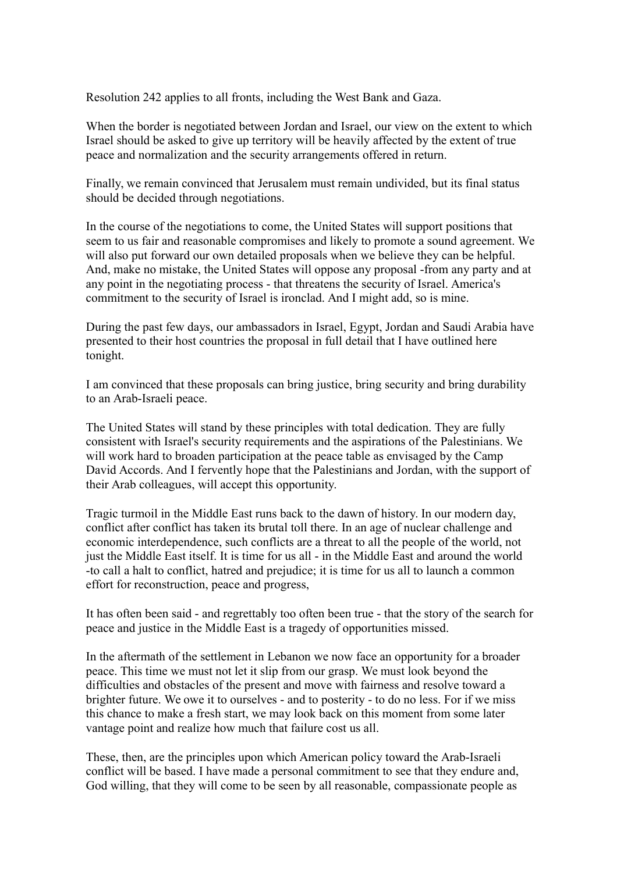Resolution 242 applies to all fronts, including the West Bank and Gaza.

When the border is negotiated between Jordan and Israel, our view on the extent to which Israel should be asked to give up territory will be heavily affected by the extent of true peace and normalization and the security arrangements offered in return.

Finally, we remain convinced that Jerusalem must remain undivided, but its final status should be decided through negotiations.

In the course of the negotiations to come, the United States will support positions that seem to us fair and reasonable compromises and likely to promote a sound agreement. We will also put forward our own detailed proposals when we believe they can be helpful. And, make no mistake, the United States will oppose any proposal -from any party and at any point in the negotiating process - that threatens the security of Israel. America's commitment to the security of Israel is ironclad. And I might add, so is mine.

During the past few days, our ambassadors in Israel, Egypt, Jordan and Saudi Arabia have presented to their host countries the proposal in full detail that I have outlined here tonight.

I am convinced that these proposals can bring justice, bring security and bring durability to an Arab-Israeli peace.

The United States will stand by these principles with total dedication. They are fully consistent with Israel's security requirements and the aspirations of the Palestinians. We will work hard to broaden participation at the peace table as envisaged by the Camp David Accords. And I fervently hope that the Palestinians and Jordan, with the support of their Arab colleagues, will accept this opportunity.

Tragic turmoil in the Middle East runs back to the dawn of history. In our modern day, conflict after conflict has taken its brutal toll there. In an age of nuclear challenge and economic interdependence, such conflicts are a threat to all the people of the world, not just the Middle East itself. It is time for us all - in the Middle East and around the world -to call a halt to conflict, hatred and prejudice; it is time for us all to launch a common effort for reconstruction, peace and progress,

It has often been said - and regrettably too often been true - that the story of the search for peace and justice in the Middle East is a tragedy of opportunities missed.

In the aftermath of the settlement in Lebanon we now face an opportunity for a broader peace. This time we must not let it slip from our grasp. We must look beyond the difficulties and obstacles of the present and move with fairness and resolve toward a brighter future. We owe it to ourselves - and to posterity - to do no less. For if we miss this chance to make a fresh start, we may look back on this moment from some later vantage point and realize how much that failure cost us all.

These, then, are the principles upon which American policy toward the Arab-Israeli conflict will be based. I have made a personal commitment to see that they endure and, God willing, that they will come to be seen by all reasonable, compassionate people as